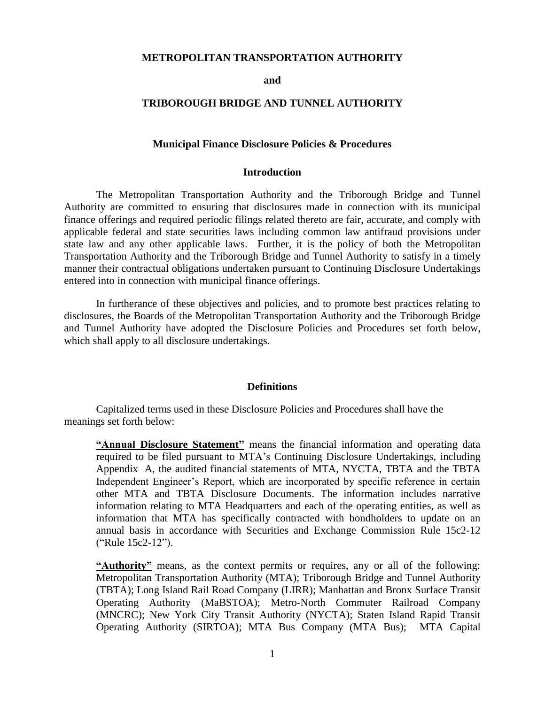#### **METROPOLITAN TRANSPORTATION AUTHORITY**

**and**

#### **TRIBOROUGH BRIDGE AND TUNNEL AUTHORITY**

#### **Municipal Finance Disclosure Policies & Procedures**

#### **Introduction**

The Metropolitan Transportation Authority and the Triborough Bridge and Tunnel Authority are committed to ensuring that disclosures made in connection with its municipal finance offerings and required periodic filings related thereto are fair, accurate, and comply with applicable federal and state securities laws including common law antifraud provisions under state law and any other applicable laws. Further, it is the policy of both the Metropolitan Transportation Authority and the Triborough Bridge and Tunnel Authority to satisfy in a timely manner their contractual obligations undertaken pursuant to Continuing Disclosure Undertakings entered into in connection with municipal finance offerings.

In furtherance of these objectives and policies, and to promote best practices relating to disclosures, the Boards of the Metropolitan Transportation Authority and the Triborough Bridge and Tunnel Authority have adopted the Disclosure Policies and Procedures set forth below, which shall apply to all disclosure undertakings.

#### **Definitions**

Capitalized terms used in these Disclosure Policies and Procedures shall have the meanings set forth below:

**"Annual Disclosure Statement"** means the financial information and operating data required to be filed pursuant to MTA's Continuing Disclosure Undertakings, including Appendix A, the audited financial statements of MTA, NYCTA, TBTA and the TBTA Independent Engineer's Report, which are incorporated by specific reference in certain other MTA and TBTA Disclosure Documents. The information includes narrative information relating to MTA Headquarters and each of the operating entities, as well as information that MTA has specifically contracted with bondholders to update on an annual basis in accordance with Securities and Exchange Commission Rule 15c2-12 ("Rule 15c2-12").

**"Authority"** means, as the context permits or requires, any or all of the following: Metropolitan Transportation Authority (MTA); Triborough Bridge and Tunnel Authority (TBTA); Long Island Rail Road Company (LIRR); Manhattan and Bronx Surface Transit Operating Authority (MaBSTOA); Metro-North Commuter Railroad Company (MNCRC); New York City Transit Authority (NYCTA); Staten Island Rapid Transit Operating Authority (SIRTOA); MTA Bus Company (MTA Bus); MTA Capital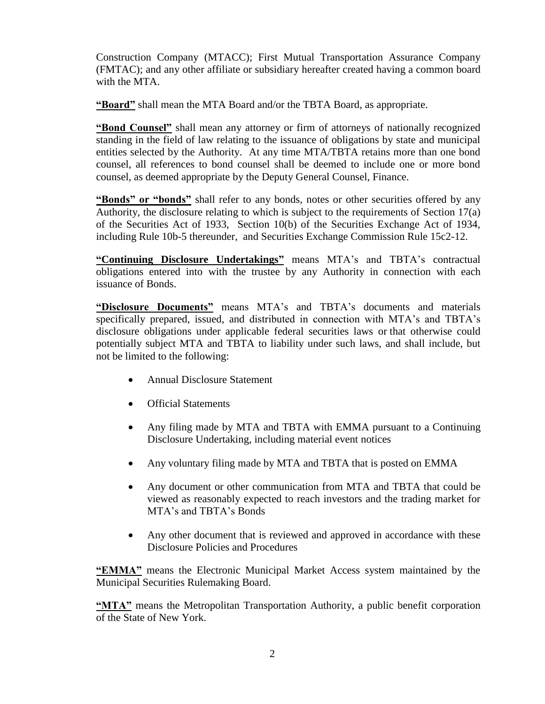Construction Company (MTACC); First Mutual Transportation Assurance Company (FMTAC); and any other affiliate or subsidiary hereafter created having a common board with the MTA.

**"Board"** shall mean the MTA Board and/or the TBTA Board, as appropriate.

**"Bond Counsel"** shall mean any attorney or firm of attorneys of nationally recognized standing in the field of law relating to the issuance of obligations by state and municipal entities selected by the Authority. At any time MTA/TBTA retains more than one bond counsel, all references to bond counsel shall be deemed to include one or more bond counsel, as deemed appropriate by the Deputy General Counsel, Finance.

**"Bonds" or "bonds"** shall refer to any bonds, notes or other securities offered by any Authority, the disclosure relating to which is subject to the requirements of Section 17(a) of the Securities Act of 1933, Section 10(b) of the Securities Exchange Act of 1934, including Rule 10b-5 thereunder, and Securities Exchange Commission Rule 15c2-12.

**"Continuing Disclosure Undertakings"** means MTA's and TBTA's contractual obligations entered into with the trustee by any Authority in connection with each issuance of Bonds.

**"Disclosure Documents"** means MTA's and TBTA's documents and materials specifically prepared, issued, and distributed in connection with MTA's and TBTA's disclosure obligations under applicable federal securities laws or that otherwise could potentially subject MTA and TBTA to liability under such laws, and shall include, but not be limited to the following:

- Annual Disclosure Statement
- Official Statements
- Any filing made by MTA and TBTA with EMMA pursuant to a Continuing Disclosure Undertaking, including material event notices
- Any voluntary filing made by MTA and TBTA that is posted on EMMA
- Any document or other communication from MTA and TBTA that could be viewed as reasonably expected to reach investors and the trading market for MTA's and TBTA's Bonds
- Any other document that is reviewed and approved in accordance with these Disclosure Policies and Procedures

**"EMMA"** means the Electronic Municipal Market Access system maintained by the Municipal Securities Rulemaking Board.

**"MTA"** means the Metropolitan Transportation Authority, a public benefit corporation of the State of New York.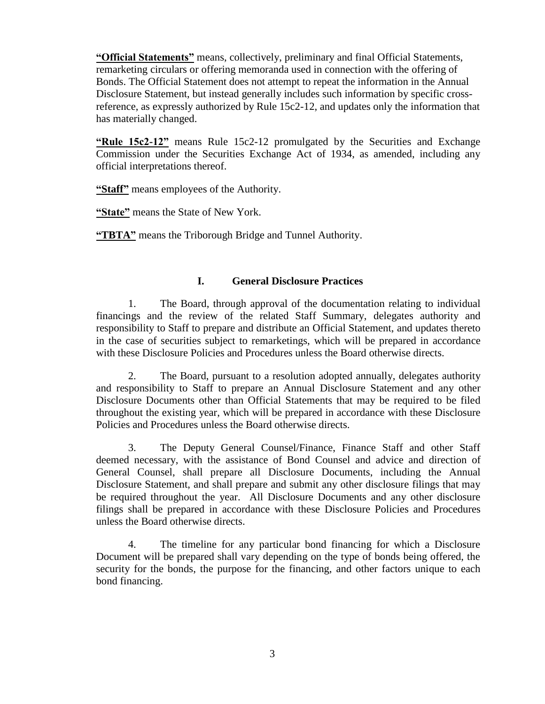**"Official Statements"** means, collectively, preliminary and final Official Statements, remarketing circulars or offering memoranda used in connection with the offering of Bonds. The Official Statement does not attempt to repeat the information in the Annual Disclosure Statement, but instead generally includes such information by specific crossreference, as expressly authorized by Rule 15c2-12, and updates only the information that has materially changed.

**"Rule 15c2-12"** means Rule 15c2-12 promulgated by the Securities and Exchange Commission under the Securities Exchange Act of 1934, as amended, including any official interpretations thereof.

**"Staff"** means employees of the Authority.

**"State"** means the State of New York.

**"TBTA"** means the Triborough Bridge and Tunnel Authority.

## **I. General Disclosure Practices**

1. The Board, through approval of the documentation relating to individual financings and the review of the related Staff Summary, delegates authority and responsibility to Staff to prepare and distribute an Official Statement, and updates thereto in the case of securities subject to remarketings, which will be prepared in accordance with these Disclosure Policies and Procedures unless the Board otherwise directs.

2. The Board, pursuant to a resolution adopted annually, delegates authority and responsibility to Staff to prepare an Annual Disclosure Statement and any other Disclosure Documents other than Official Statements that may be required to be filed throughout the existing year, which will be prepared in accordance with these Disclosure Policies and Procedures unless the Board otherwise directs.

3. The Deputy General Counsel/Finance, Finance Staff and other Staff deemed necessary, with the assistance of Bond Counsel and advice and direction of General Counsel, shall prepare all Disclosure Documents, including the Annual Disclosure Statement, and shall prepare and submit any other disclosure filings that may be required throughout the year. All Disclosure Documents and any other disclosure filings shall be prepared in accordance with these Disclosure Policies and Procedures unless the Board otherwise directs.

4. The timeline for any particular bond financing for which a Disclosure Document will be prepared shall vary depending on the type of bonds being offered, the security for the bonds, the purpose for the financing, and other factors unique to each bond financing.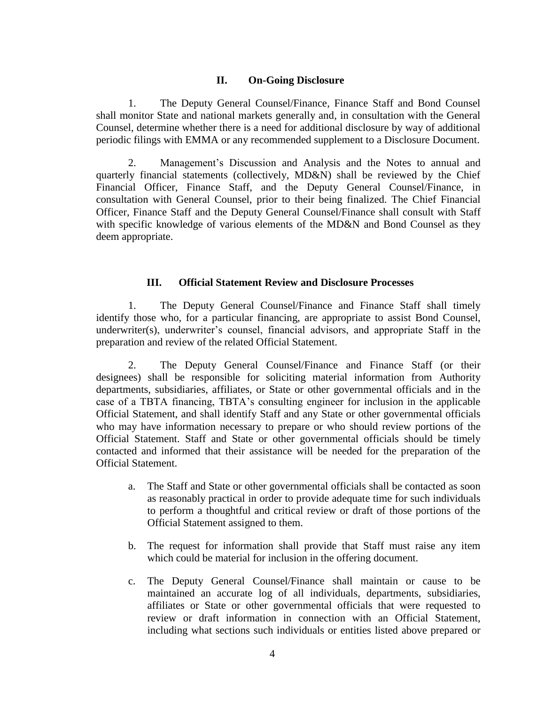#### **II. On-Going Disclosure**

1. The Deputy General Counsel/Finance, Finance Staff and Bond Counsel shall monitor State and national markets generally and, in consultation with the General Counsel, determine whether there is a need for additional disclosure by way of additional periodic filings with EMMA or any recommended supplement to a Disclosure Document.

2. Management's Discussion and Analysis and the Notes to annual and quarterly financial statements (collectively, MD&N) shall be reviewed by the Chief Financial Officer, Finance Staff, and the Deputy General Counsel/Finance, in consultation with General Counsel, prior to their being finalized. The Chief Financial Officer, Finance Staff and the Deputy General Counsel/Finance shall consult with Staff with specific knowledge of various elements of the MD&N and Bond Counsel as they deem appropriate.

#### **III. Official Statement Review and Disclosure Processes**

1. The Deputy General Counsel/Finance and Finance Staff shall timely identify those who, for a particular financing, are appropriate to assist Bond Counsel, underwriter(s), underwriter's counsel, financial advisors, and appropriate Staff in the preparation and review of the related Official Statement.

2. The Deputy General Counsel/Finance and Finance Staff (or their designees) shall be responsible for soliciting material information from Authority departments, subsidiaries, affiliates, or State or other governmental officials and in the case of a TBTA financing, TBTA's consulting engineer for inclusion in the applicable Official Statement, and shall identify Staff and any State or other governmental officials who may have information necessary to prepare or who should review portions of the Official Statement. Staff and State or other governmental officials should be timely contacted and informed that their assistance will be needed for the preparation of the Official Statement.

- a. The Staff and State or other governmental officials shall be contacted as soon as reasonably practical in order to provide adequate time for such individuals to perform a thoughtful and critical review or draft of those portions of the Official Statement assigned to them.
- b. The request for information shall provide that Staff must raise any item which could be material for inclusion in the offering document.
- c. The Deputy General Counsel/Finance shall maintain or cause to be maintained an accurate log of all individuals, departments, subsidiaries, affiliates or State or other governmental officials that were requested to review or draft information in connection with an Official Statement, including what sections such individuals or entities listed above prepared or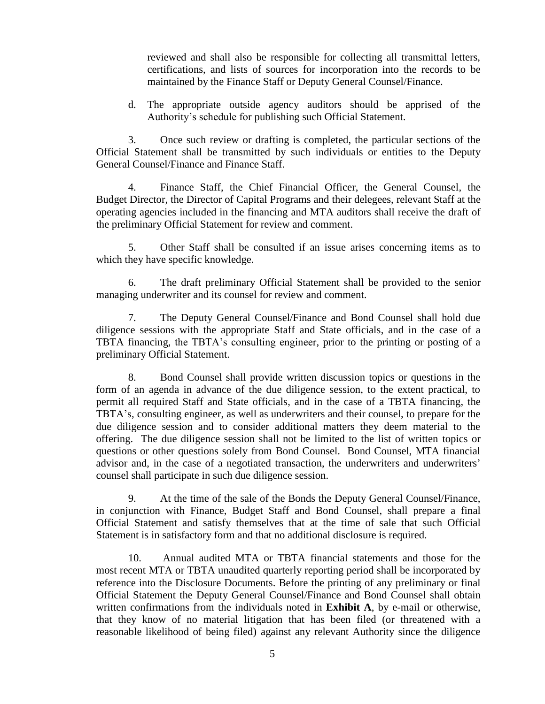reviewed and shall also be responsible for collecting all transmittal letters, certifications, and lists of sources for incorporation into the records to be maintained by the Finance Staff or Deputy General Counsel/Finance.

d. The appropriate outside agency auditors should be apprised of the Authority's schedule for publishing such Official Statement.

3. Once such review or drafting is completed, the particular sections of the Official Statement shall be transmitted by such individuals or entities to the Deputy General Counsel/Finance and Finance Staff.

4. Finance Staff, the Chief Financial Officer, the General Counsel, the Budget Director, the Director of Capital Programs and their delegees, relevant Staff at the operating agencies included in the financing and MTA auditors shall receive the draft of the preliminary Official Statement for review and comment.

5. Other Staff shall be consulted if an issue arises concerning items as to which they have specific knowledge.

6. The draft preliminary Official Statement shall be provided to the senior managing underwriter and its counsel for review and comment.

7. The Deputy General Counsel/Finance and Bond Counsel shall hold due diligence sessions with the appropriate Staff and State officials, and in the case of a TBTA financing, the TBTA's consulting engineer, prior to the printing or posting of a preliminary Official Statement.

8. Bond Counsel shall provide written discussion topics or questions in the form of an agenda in advance of the due diligence session, to the extent practical, to permit all required Staff and State officials, and in the case of a TBTA financing, the TBTA's, consulting engineer, as well as underwriters and their counsel, to prepare for the due diligence session and to consider additional matters they deem material to the offering. The due diligence session shall not be limited to the list of written topics or questions or other questions solely from Bond Counsel. Bond Counsel, MTA financial advisor and, in the case of a negotiated transaction, the underwriters and underwriters' counsel shall participate in such due diligence session.

9. At the time of the sale of the Bonds the Deputy General Counsel/Finance, in conjunction with Finance, Budget Staff and Bond Counsel, shall prepare a final Official Statement and satisfy themselves that at the time of sale that such Official Statement is in satisfactory form and that no additional disclosure is required.

10. Annual audited MTA or TBTA financial statements and those for the most recent MTA or TBTA unaudited quarterly reporting period shall be incorporated by reference into the Disclosure Documents. Before the printing of any preliminary or final Official Statement the Deputy General Counsel/Finance and Bond Counsel shall obtain written confirmations from the individuals noted in **Exhibit A**, by e-mail or otherwise, that they know of no material litigation that has been filed (or threatened with a reasonable likelihood of being filed) against any relevant Authority since the diligence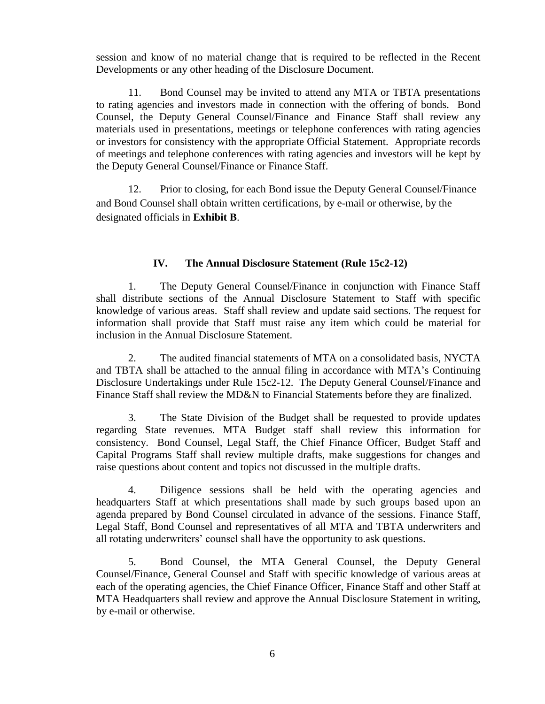session and know of no material change that is required to be reflected in the Recent Developments or any other heading of the Disclosure Document.

11. Bond Counsel may be invited to attend any MTA or TBTA presentations to rating agencies and investors made in connection with the offering of bonds. Bond Counsel, the Deputy General Counsel/Finance and Finance Staff shall review any materials used in presentations, meetings or telephone conferences with rating agencies or investors for consistency with the appropriate Official Statement. Appropriate records of meetings and telephone conferences with rating agencies and investors will be kept by the Deputy General Counsel/Finance or Finance Staff.

12. Prior to closing, for each Bond issue the Deputy General Counsel/Finance and Bond Counsel shall obtain written certifications, by e-mail or otherwise, by the designated officials in **Exhibit B**.

## **IV. The Annual Disclosure Statement (Rule 15c2-12)**

1. The Deputy General Counsel/Finance in conjunction with Finance Staff shall distribute sections of the Annual Disclosure Statement to Staff with specific knowledge of various areas. Staff shall review and update said sections. The request for information shall provide that Staff must raise any item which could be material for inclusion in the Annual Disclosure Statement.

2. The audited financial statements of MTA on a consolidated basis, NYCTA and TBTA shall be attached to the annual filing in accordance with MTA's Continuing Disclosure Undertakings under Rule 15c2-12. The Deputy General Counsel/Finance and Finance Staff shall review the MD&N to Financial Statements before they are finalized.

3. The State Division of the Budget shall be requested to provide updates regarding State revenues. MTA Budget staff shall review this information for consistency. Bond Counsel, Legal Staff, the Chief Finance Officer, Budget Staff and Capital Programs Staff shall review multiple drafts, make suggestions for changes and raise questions about content and topics not discussed in the multiple drafts.

4. Diligence sessions shall be held with the operating agencies and headquarters Staff at which presentations shall made by such groups based upon an agenda prepared by Bond Counsel circulated in advance of the sessions. Finance Staff, Legal Staff, Bond Counsel and representatives of all MTA and TBTA underwriters and all rotating underwriters' counsel shall have the opportunity to ask questions.

5. Bond Counsel, the MTA General Counsel, the Deputy General Counsel/Finance, General Counsel and Staff with specific knowledge of various areas at each of the operating agencies, the Chief Finance Officer, Finance Staff and other Staff at MTA Headquarters shall review and approve the Annual Disclosure Statement in writing, by e-mail or otherwise.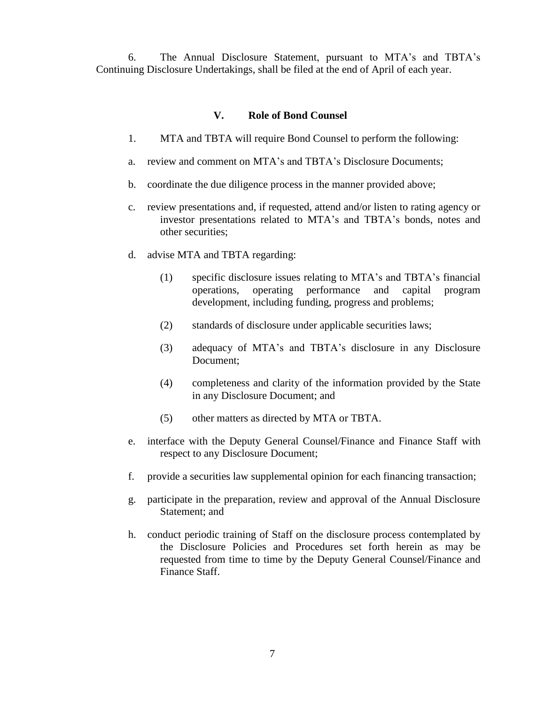6. The Annual Disclosure Statement, pursuant to MTA's and TBTA's Continuing Disclosure Undertakings, shall be filed at the end of April of each year.

#### **V. Role of Bond Counsel**

- 1. MTA and TBTA will require Bond Counsel to perform the following:
- a. review and comment on MTA's and TBTA's Disclosure Documents;
- b. coordinate the due diligence process in the manner provided above;
- c. review presentations and, if requested, attend and/or listen to rating agency or investor presentations related to MTA's and TBTA's bonds, notes and other securities;
- d. advise MTA and TBTA regarding:
	- (1) specific disclosure issues relating to MTA's and TBTA's financial operations, operating performance and capital program development, including funding, progress and problems;
	- (2) standards of disclosure under applicable securities laws;
	- (3) adequacy of MTA's and TBTA's disclosure in any Disclosure Document;
	- (4) completeness and clarity of the information provided by the State in any Disclosure Document; and
	- (5) other matters as directed by MTA or TBTA.
- e. interface with the Deputy General Counsel/Finance and Finance Staff with respect to any Disclosure Document;
- f. provide a securities law supplemental opinion for each financing transaction;
- g. participate in the preparation, review and approval of the Annual Disclosure Statement; and
- h. conduct periodic training of Staff on the disclosure process contemplated by the Disclosure Policies and Procedures set forth herein as may be requested from time to time by the Deputy General Counsel/Finance and Finance Staff.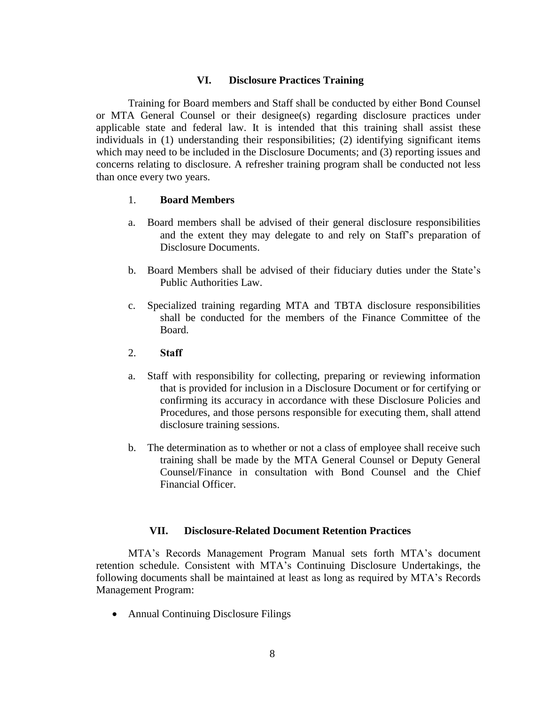#### **VI. Disclosure Practices Training**

Training for Board members and Staff shall be conducted by either Bond Counsel or MTA General Counsel or their designee(s) regarding disclosure practices under applicable state and federal law. It is intended that this training shall assist these individuals in (1) understanding their responsibilities; (2) identifying significant items which may need to be included in the Disclosure Documents; and (3) reporting issues and concerns relating to disclosure. A refresher training program shall be conducted not less than once every two years.

#### 1. **Board Members**

- a. Board members shall be advised of their general disclosure responsibilities and the extent they may delegate to and rely on Staff's preparation of Disclosure Documents.
- b. Board Members shall be advised of their fiduciary duties under the State's Public Authorities Law.
- c. Specialized training regarding MTA and TBTA disclosure responsibilities shall be conducted for the members of the Finance Committee of the Board.

#### 2. **Staff**

- a. Staff with responsibility for collecting, preparing or reviewing information that is provided for inclusion in a Disclosure Document or for certifying or confirming its accuracy in accordance with these Disclosure Policies and Procedures, and those persons responsible for executing them, shall attend disclosure training sessions.
- b. The determination as to whether or not a class of employee shall receive such training shall be made by the MTA General Counsel or Deputy General Counsel/Finance in consultation with Bond Counsel and the Chief Financial Officer.

### **VII. Disclosure-Related Document Retention Practices**

MTA's Records Management Program Manual sets forth MTA's document retention schedule. Consistent with MTA's Continuing Disclosure Undertakings, the following documents shall be maintained at least as long as required by MTA's Records Management Program:

• Annual Continuing Disclosure Filings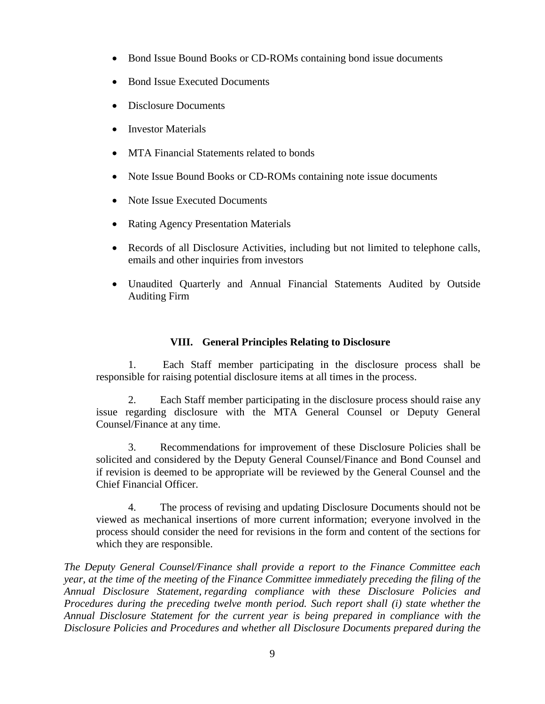- Bond Issue Bound Books or CD-ROMs containing bond issue documents
- Bond Issue Executed Documents
- Disclosure Documents
- Investor Materials
- MTA Financial Statements related to bonds
- Note Issue Bound Books or CD-ROMs containing note issue documents
- Note Issue Executed Documents
- Rating Agency Presentation Materials
- Records of all Disclosure Activities, including but not limited to telephone calls, emails and other inquiries from investors
- Unaudited Quarterly and Annual Financial Statements Audited by Outside Auditing Firm

## **VIII. General Principles Relating to Disclosure**

1. Each Staff member participating in the disclosure process shall be responsible for raising potential disclosure items at all times in the process.

2. Each Staff member participating in the disclosure process should raise any issue regarding disclosure with the MTA General Counsel or Deputy General Counsel/Finance at any time.

3. Recommendations for improvement of these Disclosure Policies shall be solicited and considered by the Deputy General Counsel/Finance and Bond Counsel and if revision is deemed to be appropriate will be reviewed by the General Counsel and the Chief Financial Officer.

4. The process of revising and updating Disclosure Documents should not be viewed as mechanical insertions of more current information; everyone involved in the process should consider the need for revisions in the form and content of the sections for which they are responsible.

*The Deputy General Counsel/Finance shall provide a report to the Finance Committee each year, at the time of the meeting of the Finance Committee immediately preceding the filing of the Annual Disclosure Statement, regarding compliance with these Disclosure Policies and Procedures during the preceding twelve month period. Such report shall (i) state whether the Annual Disclosure Statement for the current year is being prepared in compliance with the Disclosure Policies and Procedures and whether all Disclosure Documents prepared during the*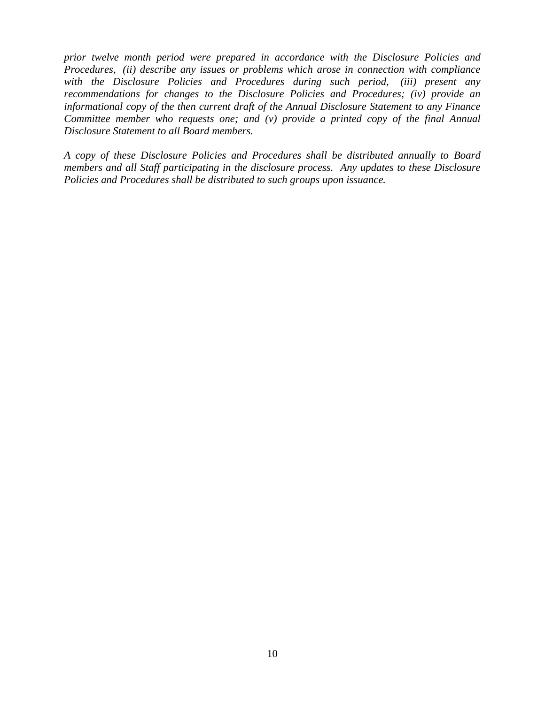*prior twelve month period were prepared in accordance with the Disclosure Policies and Procedures, (ii) describe any issues or problems which arose in connection with compliance with the Disclosure Policies and Procedures during such period, (iii) present any recommendations for changes to the Disclosure Policies and Procedures; (iv) provide an informational copy of the then current draft of the Annual Disclosure Statement to any Finance Committee member who requests one; and (v) provide a printed copy of the final Annual Disclosure Statement to all Board members.*

*A copy of these Disclosure Policies and Procedures shall be distributed annually to Board members and all Staff participating in the disclosure process. Any updates to these Disclosure Policies and Procedures shall be distributed to such groups upon issuance.*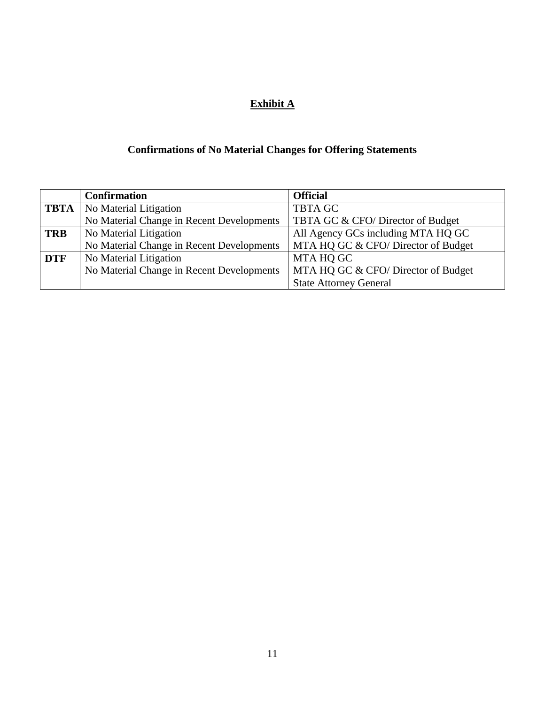# **Exhibit A**

# **Confirmations of No Material Changes for Offering Statements**

|            | <b>Confirmation</b>                       | <b>Official</b>                    |
|------------|-------------------------------------------|------------------------------------|
|            | <b>TBTA</b>   No Material Litigation      | <b>TBTA GC</b>                     |
|            | No Material Change in Recent Developments | TBTA GC & CFO/Director of Budget   |
| <b>TRB</b> | No Material Litigation                    | All Agency GCs including MTA HQ GC |
|            | No Material Change in Recent Developments | MTA HQ GC & CFO/Director of Budget |
| <b>DTF</b> | No Material Litigation                    | MTA HQ GC                          |
|            | No Material Change in Recent Developments | MTA HQ GC & CFO/Director of Budget |
|            |                                           | <b>State Attorney General</b>      |